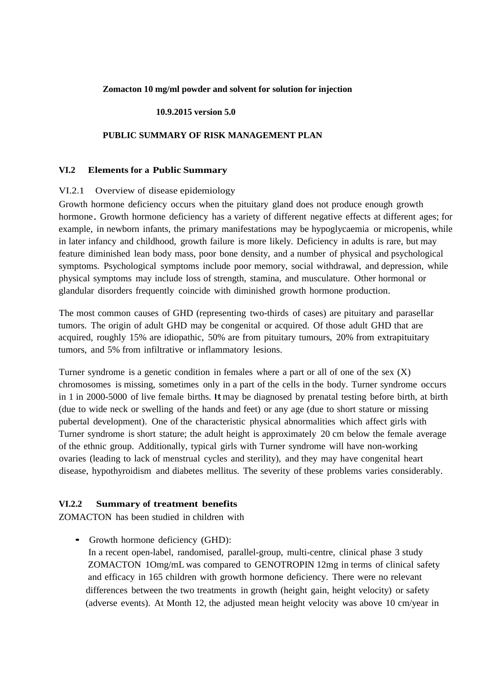### **Zomacton 10 mg/ml powder and solvent for solution for injection**

### **10.9.2015 version 5.0**

### **PUBLIC SUMMARY OF RISK MANAGEMENT PLAN**

#### **VI.2 Elements for a Public Summary**

#### VI.2.1 Overview of disease epidemiology

Growth hormone deficiency occurs when the pituitary gland does not produce enough growth hormone. Growth hormone deficiency has <sup>a</sup> variety of different negative effects at different ages; for example, in newborn infants, the primary manifestations may be hypoglycaemia or micropenis, while in later infancy and childhood, growth failure is more likely. Deficiency in adults is rare, but may feature diminished lean body mass, poor bone density, and a number of physical and psychological symptoms. Psychological symptoms include poor memory, social withdrawal, and depression, while physical symptoms may include loss of strength, stamina, and musculature. Other hormonal or glandular disorders frequently coincide with diminished growth hormone production.

The most common causes of GHD (representing two-thirds of cases) are pituitary and parasellar tumors. The origin of adult GHD may be congenital or acquired. Of those adult GHD that are acquired, roughly 15% are idiopathic, 50% are from pituitary tumours, 20% from extrapituitary tumors, and 5% from infiltrative or inflammatory lesions.

Turner syndrome is a genetic condition in females where a part or all of one of the sex  $(X)$ chromosomes is missing, sometimes only in a part of the cells in the body. Turner syndrome occurs in 1 in 2000-5000 of live female births. Itmay be diagnosed by prenatal testing before birth, at birth (due to wide neck or swelling of the hands and feet) or any age (due to short stature or missing pubertal development). One of the characteristic physical abnormalities which affect girls with Turner syndrome is short stature; the adult height is approximately 20 cm below the female average of the ethnic group. Additionally, typical girls with Turner syndrome will have non-working ovaries (leading to lack of menstrual cycles and sterility), and they may have congenital heart disease, hypothyroidism and diabetes mellitus. The severity of these problems varies considerably.

### **VI.2.2 Summary of treatment benefits**

ZOMACTON has been studied in children with

• Growth hormone deficiency (GHD): In a recent open-label, randomised, parallel-group, multi-centre, clinical phase 3 study ZOMACTON 1Omg/mL was compared to GENOTROPIN 12mg in terms of clinical safety and efficacy in 165 children with growth hormone deficiency. There were no relevant differences between the two treatments in growth (height gain, height velocity) or safety (adverse events). At Month 12, the adjusted mean height velocity was above 10 cm/year in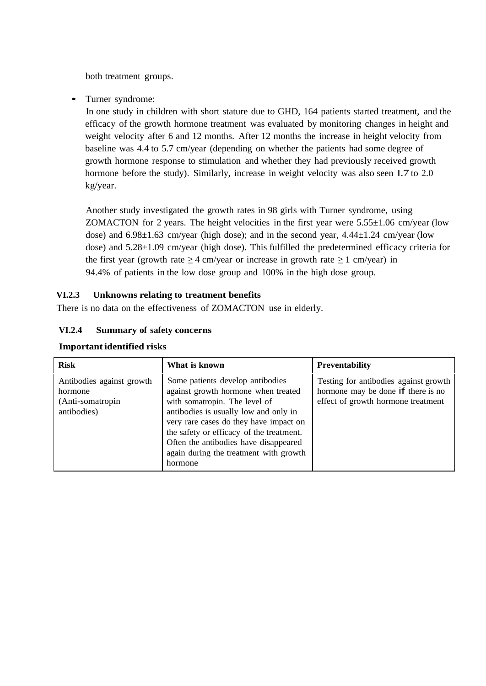both treatment groups.

• Turner syndrome:

In one study in children with short stature due to GHD, 164 patients started treatment, and the efficacy of the growth hormone treatment was evaluated by monitoring changes in height and weight velocity after 6 and 12 months. After 12 months the increase in height velocity from baseline was 4.4 to 5.7 cm/year (depending on whether the patients had some degree of growth hormone response to stimulation and whether they had previously received growth hormone before the study). Similarly, increase in weight velocity was also seen I.7 to 2.0 kg/year.

Another study investigated the growth rates in 98 girls with Turner syndrome, using ZOMACTON for 2 years. The height velocities in the first year were  $5.55\pm1.06$  cm/year (low dose) and  $6.98\pm1.63$  cm/year (high dose); and in the second year,  $4.44\pm1.24$  cm/year (low dose) and 5.28±1.09 cm/year (high dose). This fulfilled the predetermined efficacy criteria for the first year (growth rate  $\geq 4$  cm/year or increase in growth rate  $\geq 1$  cm/year) in 94.4% of patients in the low dose group and 100% in the high dose group.

# **VI.2.3 Unknowns relating to treatment benefits**

There is no data on the effectiveness of ZOMACTON use in elderly.

# **VI.2.4 Summary of safety concerns**

| <b>Risk</b>                                                             | What is known                                                                                                                                                                                                                                                                                                                         | <b>Preventability</b>                                                                                             |
|-------------------------------------------------------------------------|---------------------------------------------------------------------------------------------------------------------------------------------------------------------------------------------------------------------------------------------------------------------------------------------------------------------------------------|-------------------------------------------------------------------------------------------------------------------|
| Antibodies against growth<br>hormone<br>(Anti-somatropin<br>antibodies) | Some patients develop antibodies<br>against growth hormone when treated<br>with somatropin. The level of<br>antibodies is usually low and only in<br>very rare cases do they have impact on<br>the safety or efficacy of the treatment.<br>Often the antibodies have disappeared<br>again during the treatment with growth<br>hormone | Testing for antibodies against growth<br>hormone may be done if there is no<br>effect of growth hormone treatment |

# **Important identified risks**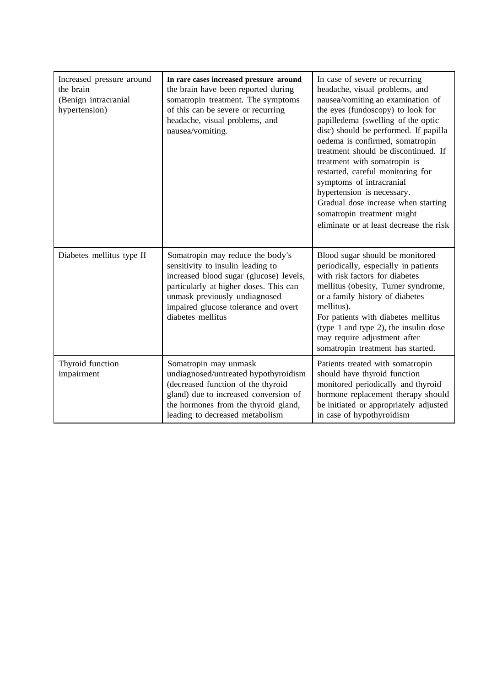| Increased pressure around<br>the brain<br>(Benign intracranial<br>hypertension) | In rare cases increased pressure around<br>the brain have been reported during<br>somatropin treatment. The symptoms<br>of this can be severe or recurring<br>headache, visual problems, and<br>nausea/vomiting.                                         | In case of severe or recurring<br>headache, visual problems, and<br>nausea/vomiting an examination of<br>the eyes (fundoscopy) to look for<br>papilledema (swelling of the optic<br>disc) should be performed. If papilla<br>oedema is confirmed, somatropin<br>treatment should be discontinued. If<br>treatment with somatropin is<br>restarted, careful monitoring for<br>symptoms of intracranial<br>hypertension is necessary.<br>Gradual dose increase when starting<br>somatropin treatment might<br>eliminate or at least decrease the risk |
|---------------------------------------------------------------------------------|----------------------------------------------------------------------------------------------------------------------------------------------------------------------------------------------------------------------------------------------------------|-----------------------------------------------------------------------------------------------------------------------------------------------------------------------------------------------------------------------------------------------------------------------------------------------------------------------------------------------------------------------------------------------------------------------------------------------------------------------------------------------------------------------------------------------------|
| Diabetes mellitus type II                                                       | Somatropin may reduce the body's<br>sensitivity to insulin leading to<br>increased blood sugar (glucose) levels,<br>particularly at higher doses. This can<br>unmask previously undiagnosed<br>impaired glucose tolerance and overt<br>diabetes mellitus | Blood sugar should be monitored<br>periodically, especially in patients<br>with risk factors for diabetes<br>mellitus (obesity, Turner syndrome,<br>or a family history of diabetes<br>mellitus).<br>For patients with diabetes mellitus<br>(type 1 and type 2), the insulin dose<br>may require adjustment after<br>somatropin treatment has started.                                                                                                                                                                                              |
| Thyroid function<br>impairment                                                  | Somatropin may unmask<br>undiagnosed/untreated hypothyroidism<br>(decreased function of the thyroid<br>gland) due to increased conversion of<br>the hormones from the thyroid gland,<br>leading to decreased metabolism                                  | Patients treated with somatropin<br>should have thyroid function<br>monitored periodically and thyroid<br>hormone replacement therapy should<br>be initiated or appropriately adjusted<br>in case of hypothyroidism                                                                                                                                                                                                                                                                                                                                 |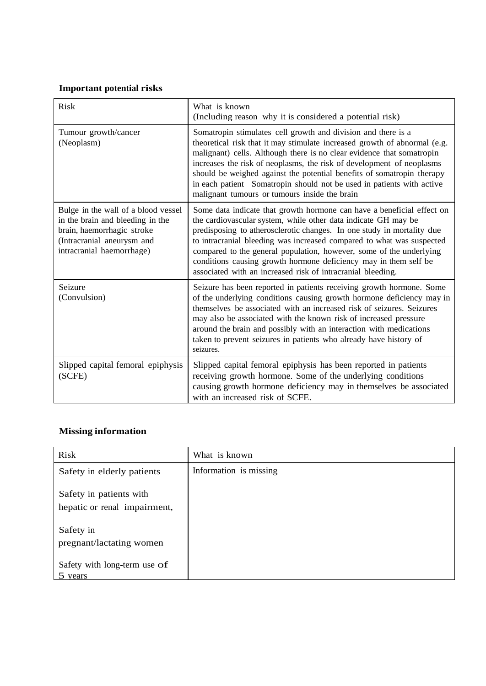# **Important potential risks**

| <b>Risk</b>                                                                                                                                                      | What is known<br>(Including reason why it is considered a potential risk)                                                                                                                                                                                                                                                                                                                                                                                                                             |  |
|------------------------------------------------------------------------------------------------------------------------------------------------------------------|-------------------------------------------------------------------------------------------------------------------------------------------------------------------------------------------------------------------------------------------------------------------------------------------------------------------------------------------------------------------------------------------------------------------------------------------------------------------------------------------------------|--|
| Tumour growth/cancer<br>(Neoplasm)                                                                                                                               | Somatropin stimulates cell growth and division and there is a<br>theoretical risk that it may stimulate increased growth of abnormal (e.g.<br>malignant) cells. Although there is no clear evidence that somatropin<br>increases the risk of neoplasms, the risk of development of neoplasms<br>should be weighed against the potential benefits of somatropin therapy<br>in each patient Somatropin should not be used in patients with active<br>malignant tumours or tumours inside the brain      |  |
| Bulge in the wall of a blood vessel<br>in the brain and bleeding in the<br>brain, haemorrhagic stroke<br>(Intracranial aneurysm and<br>intracranial haemorrhage) | Some data indicate that growth hormone can have a beneficial effect on<br>the cardiovascular system, while other data indicate GH may be<br>predisposing to atherosclerotic changes. In one study in mortality due<br>to intracranial bleeding was increased compared to what was suspected<br>compared to the general population, however, some of the underlying<br>conditions causing growth hormone deficiency may in them self be<br>associated with an increased risk of intracranial bleeding. |  |
| Seizure<br>(Convulsion)                                                                                                                                          | Seizure has been reported in patients receiving growth hormone. Some<br>of the underlying conditions causing growth hormone deficiency may in<br>themselves be associated with an increased risk of seizures. Seizures<br>may also be associated with the known risk of increased pressure<br>around the brain and possibly with an interaction with medications<br>taken to prevent seizures in patients who already have history of<br>seizures.                                                    |  |
| Slipped capital femoral epiphysis<br>(SCFE)                                                                                                                      | Slipped capital femoral epiphysis has been reported in patients<br>receiving growth hormone. Some of the underlying conditions<br>causing growth hormone deficiency may in themselves be associated<br>with an increased risk of SCFE.                                                                                                                                                                                                                                                                |  |

# **Missing information**

| Risk                                                    | What is known          |
|---------------------------------------------------------|------------------------|
| Safety in elderly patients                              | Information is missing |
| Safety in patients with<br>hepatic or renal impairment, |                        |
| Safety in<br>pregnant/lactating women                   |                        |
| Safety with long-term use of<br>5 years                 |                        |